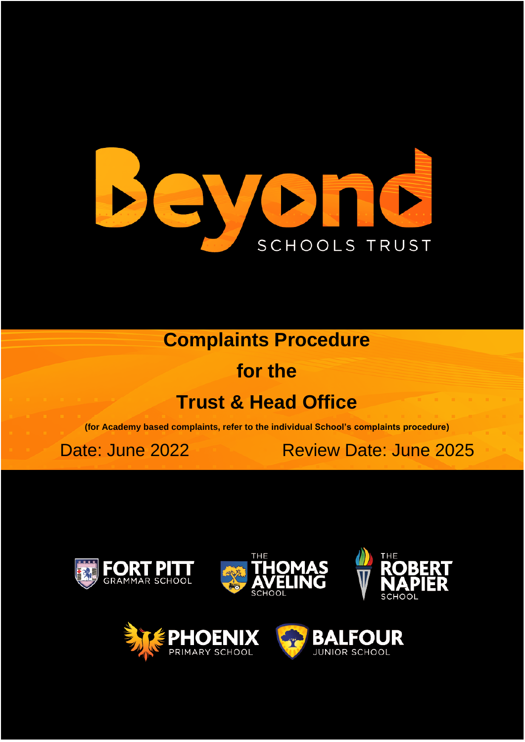

**Complaints Procedure**

**for the**

# **Trust & Head Office**

**(for Academy based complaints, refer to the individual School's complaints procedure)**

Date: June 2022 Review Date: June 2025







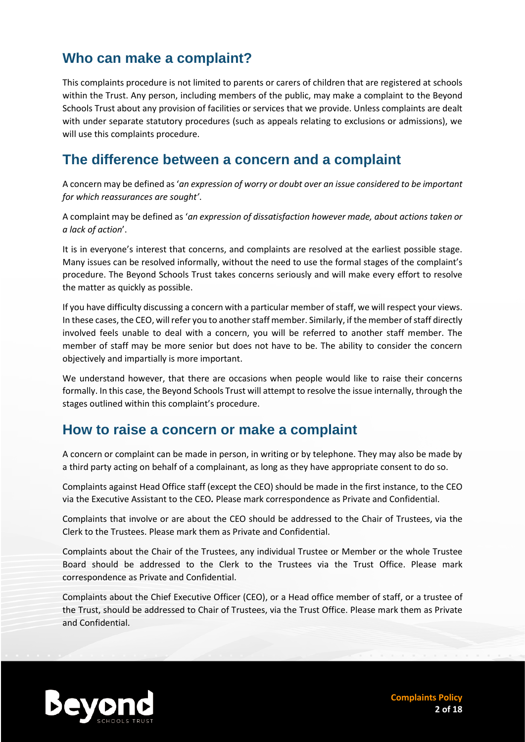# **Who can make a complaint?**

This complaints procedure is not limited to parents or carers of children that are registered at schools within the Trust. Any person, including members of the public, may make a complaint to the Beyond Schools Trust about any provision of facilities or services that we provide. Unless complaints are dealt with under separate statutory procedures (such as appeals relating to exclusions or admissions), we will use this complaints procedure.

#### **The difference between a concern and a complaint**

A concern may be defined as '*an expression of worry or doubt over an issue considered to be important for which reassurances are sought'*.

A complaint may be defined as '*an expression of dissatisfaction however made, about actions taken or a lack of action*'.

It is in everyone's interest that concerns, and complaints are resolved at the earliest possible stage. Many issues can be resolved informally, without the need to use the formal stages of the complaint's procedure. The Beyond Schools Trust takes concerns seriously and will make every effort to resolve the matter as quickly as possible.

If you have difficulty discussing a concern with a particular member of staff, we will respect your views. In these cases, the CEO, will refer you to another staff member. Similarly, if the member of staff directly involved feels unable to deal with a concern, you will be referred to another staff member. The member of staff may be more senior but does not have to be. The ability to consider the concern objectively and impartially is more important.

We understand however, that there are occasions when people would like to raise their concerns formally. In this case, the Beyond Schools Trust will attempt to resolve the issue internally, through the stages outlined within this complaint's procedure.

#### **How to raise a concern or make a complaint**

A concern or complaint can be made in person, in writing or by telephone. They may also be made by a third party acting on behalf of a complainant, as long as they have appropriate consent to do so.

Complaints against Head Office staff (except the CEO) should be made in the first instance, to the CEO via the Executive Assistant to the CEO*.* Please mark correspondence as Private and Confidential.

Complaints that involve or are about the CEO should be addressed to the Chair of Trustees, via the Clerk to the Trustees. Please mark them as Private and Confidential.

Complaints about the Chair of the Trustees, any individual Trustee or Member or the whole Trustee Board should be addressed to the Clerk to the Trustees via the Trust Office. Please mark correspondence as Private and Confidential.

Complaints about the Chief Executive Officer (CEO), or a Head office member of staff, or a trustee of the Trust, should be addressed to Chair of Trustees, via the Trust Office. Please mark them as Private and Confidential.



**Complaints Policy 2 of 18**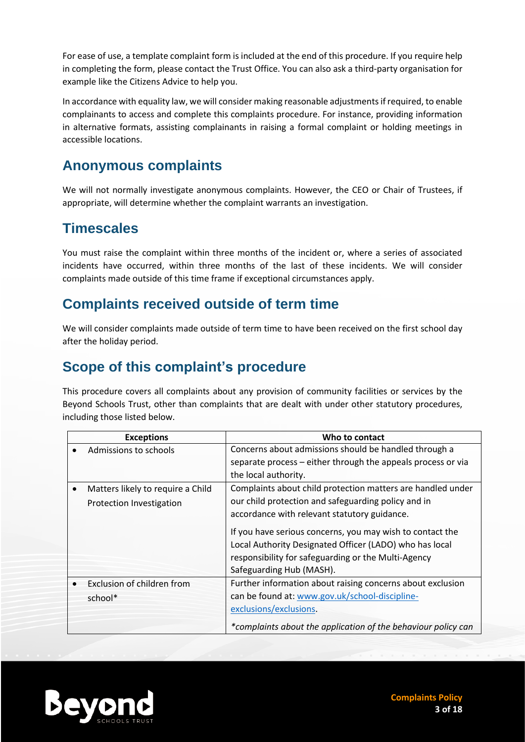For ease of use, a template complaint form is included at the end of this procedure. If you require help in completing the form, please contact the Trust Office. You can also ask a third-party organisation for example like the Citizens Advice to help you.

In accordance with equality law, we will consider making reasonable adjustments if required, to enable complainants to access and complete this complaints procedure. For instance, providing information in alternative formats, assisting complainants in raising a formal complaint or holding meetings in accessible locations.

#### **Anonymous complaints**

We will not normally investigate anonymous complaints. However, the CEO or Chair of Trustees, if appropriate, will determine whether the complaint warrants an investigation.

# **Timescales**

You must raise the complaint within three months of the incident or, where a series of associated incidents have occurred, within three months of the last of these incidents. We will consider complaints made outside of this time frame if exceptional circumstances apply.

#### **Complaints received outside of term time**

We will consider complaints made outside of term time to have been received on the first school day after the holiday period.

# **Scope of this complaint's procedure**

This procedure covers all complaints about any provision of community facilities or services by the Beyond Schools Trust, other than complaints that are dealt with under other statutory procedures, including those listed below.

| <b>Exceptions</b>                 | Who to contact                                                |  |
|-----------------------------------|---------------------------------------------------------------|--|
| Admissions to schools             | Concerns about admissions should be handled through a         |  |
|                                   | separate process – either through the appeals process or via  |  |
|                                   | the local authority.                                          |  |
| Matters likely to require a Child | Complaints about child protection matters are handled under   |  |
| Protection Investigation          | our child protection and safeguarding policy and in           |  |
|                                   | accordance with relevant statutory guidance.                  |  |
|                                   | If you have serious concerns, you may wish to contact the     |  |
|                                   | Local Authority Designated Officer (LADO) who has local       |  |
|                                   | responsibility for safeguarding or the Multi-Agency           |  |
|                                   | Safeguarding Hub (MASH).                                      |  |
| Exclusion of children from        | Further information about raising concerns about exclusion    |  |
| school*                           | can be found at: www.gov.uk/school-discipline-                |  |
|                                   | exclusions/exclusions.                                        |  |
|                                   | *complaints about the application of the behaviour policy can |  |



**Complaints Policy 3 of 18**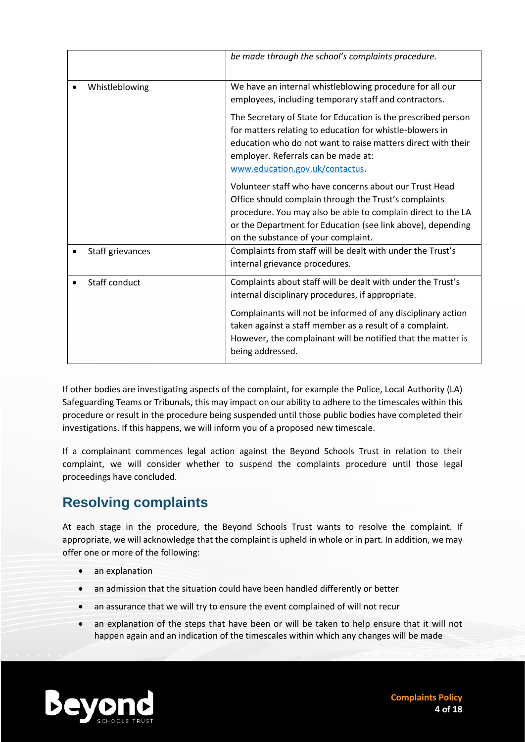|                  | be made through the school's complaints procedure.                                                                                                                                                                                                                                    |
|------------------|---------------------------------------------------------------------------------------------------------------------------------------------------------------------------------------------------------------------------------------------------------------------------------------|
| Whistleblowing   | We have an internal whistleblowing procedure for all our<br>employees, including temporary staff and contractors.                                                                                                                                                                     |
|                  | The Secretary of State for Education is the prescribed person<br>for matters relating to education for whistle-blowers in<br>education who do not want to raise matters direct with their<br>employer. Referrals can be made at:<br>www.education.gov.uk/contactus.                   |
|                  | Volunteer staff who have concerns about our Trust Head<br>Office should complain through the Trust's complaints<br>procedure. You may also be able to complain direct to the LA<br>or the Department for Education (see link above), depending<br>on the substance of your complaint. |
| Staff grievances | Complaints from staff will be dealt with under the Trust's<br>internal grievance procedures.                                                                                                                                                                                          |
| Staff conduct    | Complaints about staff will be dealt with under the Trust's<br>internal disciplinary procedures, if appropriate.                                                                                                                                                                      |
|                  | Complainants will not be informed of any disciplinary action<br>taken against a staff member as a result of a complaint.<br>However, the complainant will be notified that the matter is<br>being addressed.                                                                          |

If other bodies are investigating aspects of the complaint, for example the Police, Local Authority (LA) Safeguarding Teams or Tribunals, this may impact on our ability to adhere to the timescales within this procedure or result in the procedure being suspended until those public bodies have completed their investigations. If this happens, we will inform you of a proposed new timescale.

If a complainant commences legal action against the Beyond Schools Trust in relation to their complaint, we will consider whether to suspend the complaints procedure until those legal proceedings have concluded.

# **Resolving complaints**

At each stage in the procedure, the Beyond Schools Trust wants to resolve the complaint. If appropriate, we will acknowledge that the complaint is upheld in whole or in part. In addition, we may offer one or more of the following:

- an explanation
- an admission that the situation could have been handled differently or better
- an assurance that we will try to ensure the event complained of will not recur
- an explanation of the steps that have been or will be taken to help ensure that it will not happen again and an indication of the timescales within which any changes will be made

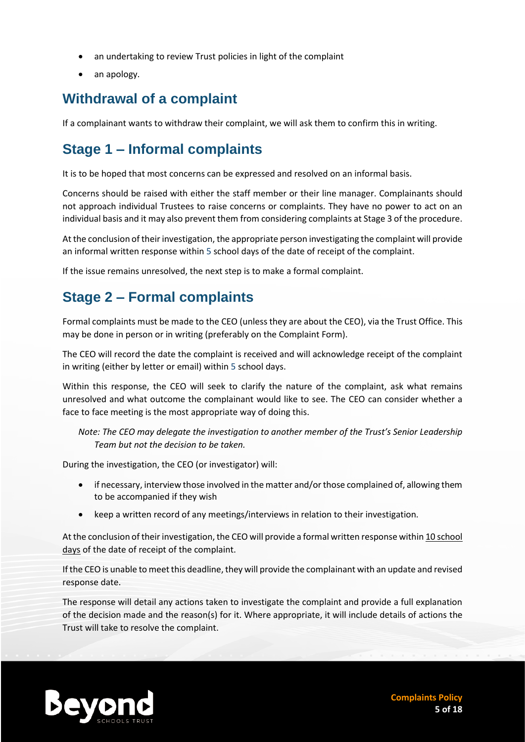- an undertaking to review Trust policies in light of the complaint
- an apology.

# **Withdrawal of a complaint**

If a complainant wants to withdraw their complaint, we will ask them to confirm this in writing.

# **Stage 1 – Informal complaints**

It is to be hoped that most concerns can be expressed and resolved on an informal basis.

Concerns should be raised with either the staff member or their line manager. Complainants should not approach individual Trustees to raise concerns or complaints. They have no power to act on an individual basis and it may also prevent them from considering complaints at Stage 3 of the procedure.

At the conclusion of their investigation, the appropriate person investigating the complaint will provide an informal written response within 5 school days of the date of receipt of the complaint.

If the issue remains unresolved, the next step is to make a formal complaint.

# **Stage 2 – Formal complaints**

Formal complaints must be made to the CEO (unless they are about the CEO), via the Trust Office. This may be done in person or in writing (preferably on the Complaint Form).

The CEO will record the date the complaint is received and will acknowledge receipt of the complaint in writing (either by letter or email) within 5 school days.

Within this response, the CEO will seek to clarify the nature of the complaint, ask what remains unresolved and what outcome the complainant would like to see. The CEO can consider whether a face to face meeting is the most appropriate way of doing this.

*Note: The CEO may delegate the investigation to another member of the Trust's Senior Leadership Team but not the decision to be taken.*

During the investigation, the CEO (or investigator) will:

- if necessary, interview those involved in the matter and/or those complained of, allowing them to be accompanied if they wish
- keep a written record of any meetings/interviews in relation to their investigation.

At the conclusion of their investigation, the CEO will provide a formal written response within 10 school days of the date of receipt of the complaint.

If the CEO is unable to meet this deadline, they will provide the complainant with an update and revised response date.

The response will detail any actions taken to investigate the complaint and provide a full explanation of the decision made and the reason(s) for it. Where appropriate, it will include details of actions the Trust will take to resolve the complaint.

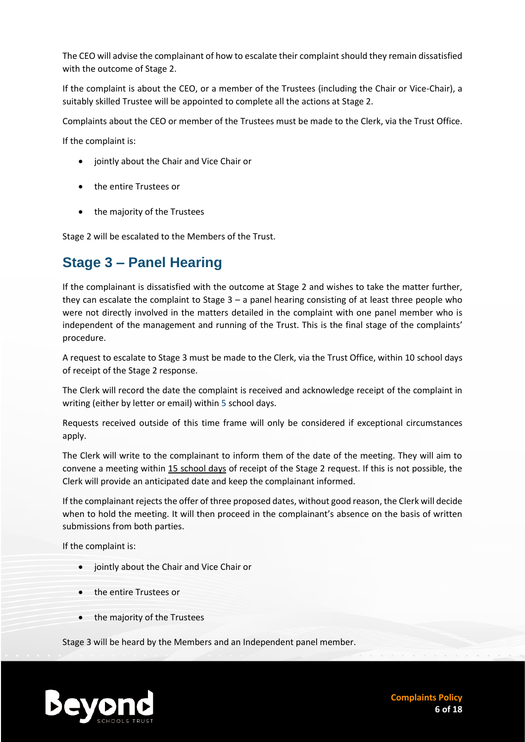The CEO will advise the complainant of how to escalate their complaint should they remain dissatisfied with the outcome of Stage 2.

If the complaint is about the CEO, or a member of the Trustees (including the Chair or Vice-Chair), a suitably skilled Trustee will be appointed to complete all the actions at Stage 2.

Complaints about the CEO or member of the Trustees must be made to the Clerk, via the Trust Office.

If the complaint is:

- jointly about the Chair and Vice Chair or
- the entire Trustees or
- the majority of the Trustees

Stage 2 will be escalated to the Members of the Trust.

#### **Stage 3 – Panel Hearing**

If the complainant is dissatisfied with the outcome at Stage 2 and wishes to take the matter further, they can escalate the complaint to Stage  $3 - a$  panel hearing consisting of at least three people who were not directly involved in the matters detailed in the complaint with one panel member who is independent of the management and running of the Trust. This is the final stage of the complaints' procedure.

A request to escalate to Stage 3 must be made to the Clerk, via the Trust Office, within 10 school days of receipt of the Stage 2 response.

The Clerk will record the date the complaint is received and acknowledge receipt of the complaint in writing (either by letter or email) within 5 school days.

Requests received outside of this time frame will only be considered if exceptional circumstances apply.

The Clerk will write to the complainant to inform them of the date of the meeting. They will aim to convene a meeting within 15 school days of receipt of the Stage 2 request. If this is not possible, the Clerk will provide an anticipated date and keep the complainant informed.

If the complainant rejects the offer of three proposed dates, without good reason, the Clerk will decide when to hold the meeting. It will then proceed in the complainant's absence on the basis of written submissions from both parties.

If the complaint is:

- jointly about the Chair and Vice Chair or
- the entire Trustees or
- the majority of the Trustees

Stage 3 will be heard by the Members and an Independent panel member.

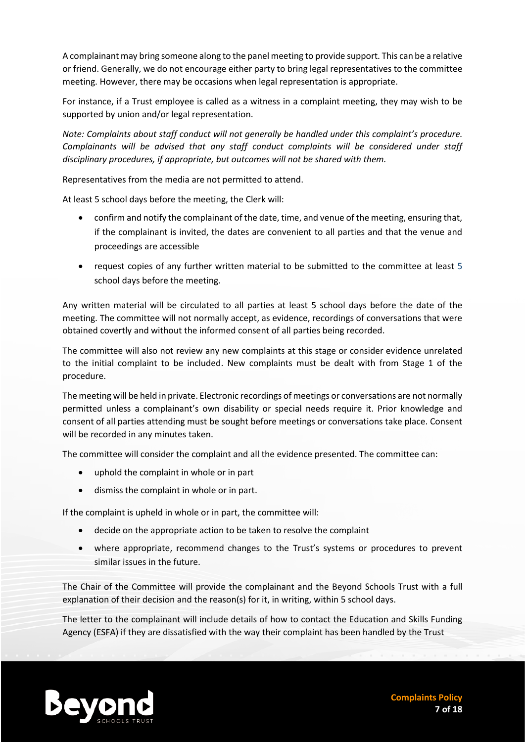A complainant may bring someone along to the panel meeting to provide support. This can be a relative or friend. Generally, we do not encourage either party to bring legal representatives to the committee meeting. However, there may be occasions when legal representation is appropriate.

For instance, if a Trust employee is called as a witness in a complaint meeting, they may wish to be supported by union and/or legal representation.

*Note: Complaints about staff conduct will not generally be handled under this complaint's procedure. Complainants will be advised that any staff conduct complaints will be considered under staff disciplinary procedures, if appropriate, but outcomes will not be shared with them.* 

Representatives from the media are not permitted to attend.

At least 5 school days before the meeting, the Clerk will:

- confirm and notify the complainant of the date, time, and venue of the meeting, ensuring that, if the complainant is invited, the dates are convenient to all parties and that the venue and proceedings are accessible
- request copies of any further written material to be submitted to the committee at least 5 school days before the meeting.

Any written material will be circulated to all parties at least 5 school days before the date of the meeting. The committee will not normally accept, as evidence, recordings of conversations that were obtained covertly and without the informed consent of all parties being recorded.

The committee will also not review any new complaints at this stage or consider evidence unrelated to the initial complaint to be included. New complaints must be dealt with from Stage 1 of the procedure.

The meeting will be held in private. Electronic recordings of meetings or conversations are not normally permitted unless a complainant's own disability or special needs require it. Prior knowledge and consent of all parties attending must be sought before meetings or conversations take place. Consent will be recorded in any minutes taken.

The committee will consider the complaint and all the evidence presented. The committee can:

- uphold the complaint in whole or in part
- dismiss the complaint in whole or in part.

If the complaint is upheld in whole or in part, the committee will:

- decide on the appropriate action to be taken to resolve the complaint
- where appropriate, recommend changes to the Trust's systems or procedures to prevent similar issues in the future.

The Chair of the Committee will provide the complainant and the Beyond Schools Trust with a full explanation of their decision and the reason(s) for it, in writing, within 5 school days.

The letter to the complainant will include details of how to contact the Education and Skills Funding Agency (ESFA) if they are dissatisfied with the way their complaint has been handled by the Trust

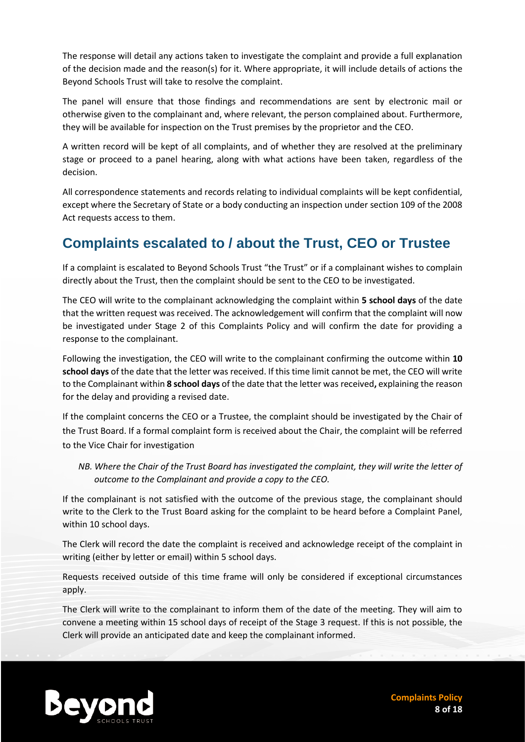The response will detail any actions taken to investigate the complaint and provide a full explanation of the decision made and the reason(s) for it. Where appropriate, it will include details of actions the Beyond Schools Trust will take to resolve the complaint.

The panel will ensure that those findings and recommendations are sent by electronic mail or otherwise given to the complainant and, where relevant, the person complained about. Furthermore, they will be available for inspection on the Trust premises by the proprietor and the CEO.

A written record will be kept of all complaints, and of whether they are resolved at the preliminary stage or proceed to a panel hearing, along with what actions have been taken, regardless of the decision.

All correspondence statements and records relating to individual complaints will be kept confidential, except where the Secretary of State or a body conducting an inspection under section 109 of the 2008 Act requests access to them.

# **Complaints escalated to / about the Trust, CEO or Trustee**

If a complaint is escalated to Beyond Schools Trust "the Trust" or if a complainant wishes to complain directly about the Trust, then the complaint should be sent to the CEO to be investigated.

The CEO will write to the complainant acknowledging the complaint within **5 school days** of the date that the written request was received. The acknowledgement will confirm that the complaint will now be investigated under Stage 2 of this Complaints Policy and will confirm the date for providing a response to the complainant.

Following the investigation, the CEO will write to the complainant confirming the outcome within **10 school days** of the date that the letter was received. If this time limit cannot be met, the CEO will write to the Complainant within **8 school days** of the date that the letter was received**,** explaining the reason for the delay and providing a revised date.

If the complaint concerns the CEO or a Trustee, the complaint should be investigated by the Chair of the Trust Board. If a formal complaint form is received about the Chair, the complaint will be referred to the Vice Chair for investigation

*NB. Where the Chair of the Trust Board has investigated the complaint, they will write the letter of outcome to the Complainant and provide a copy to the CEO.* 

If the complainant is not satisfied with the outcome of the previous stage, the complainant should write to the Clerk to the Trust Board asking for the complaint to be heard before a Complaint Panel, within 10 school days.

The Clerk will record the date the complaint is received and acknowledge receipt of the complaint in writing (either by letter or email) within 5 school days.

Requests received outside of this time frame will only be considered if exceptional circumstances apply.

The Clerk will write to the complainant to inform them of the date of the meeting. They will aim to convene a meeting within 15 school days of receipt of the Stage 3 request. If this is not possible, the Clerk will provide an anticipated date and keep the complainant informed.

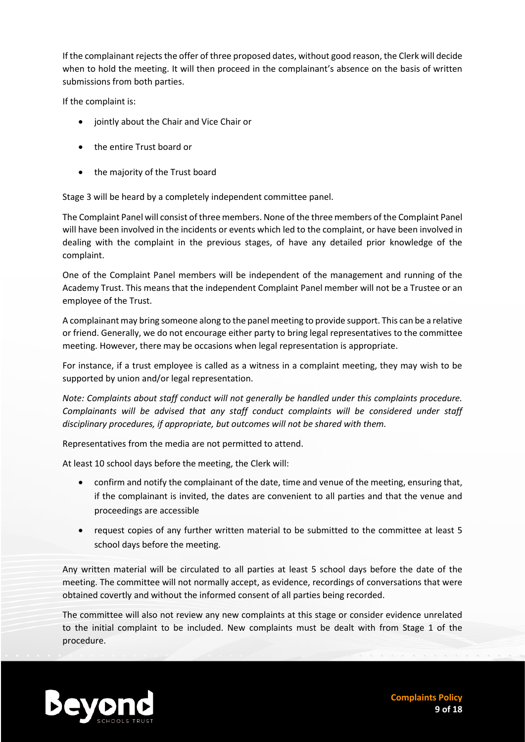If the complainant rejects the offer of three proposed dates, without good reason, the Clerk will decide when to hold the meeting. It will then proceed in the complainant's absence on the basis of written submissions from both parties.

If the complaint is:

- jointly about the Chair and Vice Chair or
- the entire Trust board or
- the majority of the Trust board

Stage 3 will be heard by a completely independent committee panel.

The Complaint Panel will consist of three members. None of the three members of the Complaint Panel will have been involved in the incidents or events which led to the complaint, or have been involved in dealing with the complaint in the previous stages, of have any detailed prior knowledge of the complaint.

One of the Complaint Panel members will be independent of the management and running of the Academy Trust. This means that the independent Complaint Panel member will not be a Trustee or an employee of the Trust.

A complainant may bring someone along to the panel meeting to provide support. This can be a relative or friend. Generally, we do not encourage either party to bring legal representatives to the committee meeting. However, there may be occasions when legal representation is appropriate.

For instance, if a trust employee is called as a witness in a complaint meeting, they may wish to be supported by union and/or legal representation.

*Note: Complaints about staff conduct will not generally be handled under this complaints procedure. Complainants will be advised that any staff conduct complaints will be considered under staff disciplinary procedures, if appropriate, but outcomes will not be shared with them.* 

Representatives from the media are not permitted to attend.

At least 10 school days before the meeting, the Clerk will:

- confirm and notify the complainant of the date, time and venue of the meeting, ensuring that, if the complainant is invited, the dates are convenient to all parties and that the venue and proceedings are accessible
- request copies of any further written material to be submitted to the committee at least 5 school days before the meeting.

Any written material will be circulated to all parties at least 5 school days before the date of the meeting. The committee will not normally accept, as evidence, recordings of conversations that were obtained covertly and without the informed consent of all parties being recorded.

The committee will also not review any new complaints at this stage or consider evidence unrelated to the initial complaint to be included. New complaints must be dealt with from Stage 1 of the procedure.

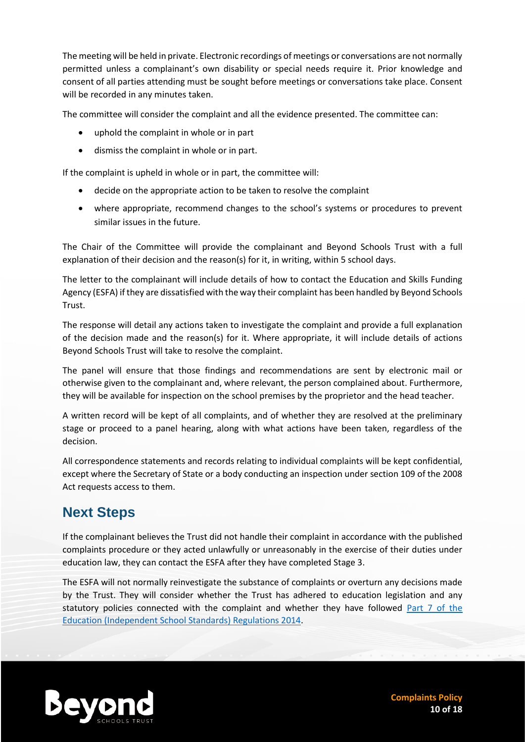The meeting will be held in private. Electronic recordings of meetings or conversations are not normally permitted unless a complainant's own disability or special needs require it. Prior knowledge and consent of all parties attending must be sought before meetings or conversations take place. Consent will be recorded in any minutes taken.

The committee will consider the complaint and all the evidence presented. The committee can:

- uphold the complaint in whole or in part
- dismiss the complaint in whole or in part.

If the complaint is upheld in whole or in part, the committee will:

- decide on the appropriate action to be taken to resolve the complaint
- where appropriate, recommend changes to the school's systems or procedures to prevent similar issues in the future.

The Chair of the Committee will provide the complainant and Beyond Schools Trust with a full explanation of their decision and the reason(s) for it, in writing, within 5 school days.

The letter to the complainant will include details of how to contact the Education and Skills Funding Agency (ESFA) if they are dissatisfied with the way their complaint has been handled by Beyond Schools Trust.

The response will detail any actions taken to investigate the complaint and provide a full explanation of the decision made and the reason(s) for it. Where appropriate, it will include details of actions Beyond Schools Trust will take to resolve the complaint.

The panel will ensure that those findings and recommendations are sent by electronic mail or otherwise given to the complainant and, where relevant, the person complained about. Furthermore, they will be available for inspection on the school premises by the proprietor and the head teacher.

A written record will be kept of all complaints, and of whether they are resolved at the preliminary stage or proceed to a panel hearing, along with what actions have been taken, regardless of the decision.

All correspondence statements and records relating to individual complaints will be kept confidential, except where the Secretary of State or a body conducting an inspection under section 109 of the 2008 Act requests access to them.

# **Next Steps**

If the complainant believes the Trust did not handle their complaint in accordance with the published complaints procedure or they acted unlawfully or unreasonably in the exercise of their duties under education law, they can contact the ESFA after they have completed Stage 3.

The ESFA will not normally reinvestigate the substance of complaints or overturn any decisions made by the Trust. They will consider whether the Trust has adhered to education legislation and any statutory policies connected with the complaint and whether they have followed [Part 7 of the](http://www.legislation.gov.uk/uksi/2010/1997/schedule/1/made)  [Education \(Independent School Standards\) Regulations 2014.](http://www.legislation.gov.uk/uksi/2010/1997/schedule/1/made)



**Complaints Policy 10 of 18**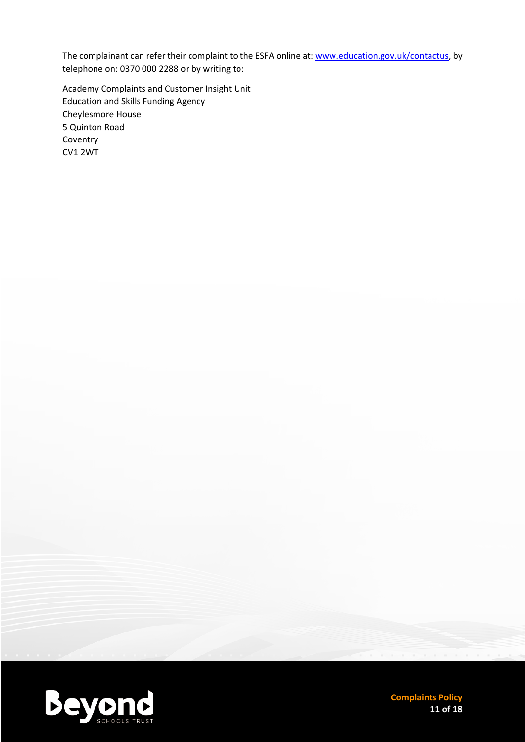The complainant can refer their complaint to the ESFA online at[: www.education.gov.uk/contactus,](http://www.education.gov.uk/contactus) by telephone on: 0370 000 2288 or by writing to:

Academy Complaints and Customer Insight Unit Education and Skills Funding Agency Cheylesmore House 5 Quinton Road Coventry CV1 2WT



**Complaints Policy 11 of 18**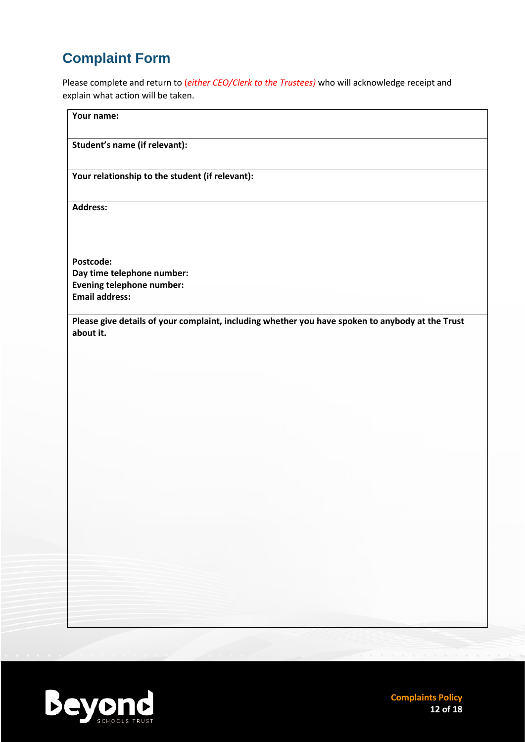# **Complaint Form**

Please complete and return to (*either CEO/Clerk to the Trustees)* who will acknowledge receipt and explain what action will be taken.

| Your name:                                                                                                                                                                                                                                                                    |                                                                                                  |
|-------------------------------------------------------------------------------------------------------------------------------------------------------------------------------------------------------------------------------------------------------------------------------|--------------------------------------------------------------------------------------------------|
| Student's name (if relevant):                                                                                                                                                                                                                                                 |                                                                                                  |
| Your relationship to the student (if relevant):                                                                                                                                                                                                                               |                                                                                                  |
| <b>Address:</b>                                                                                                                                                                                                                                                               |                                                                                                  |
|                                                                                                                                                                                                                                                                               |                                                                                                  |
| Postcode:                                                                                                                                                                                                                                                                     |                                                                                                  |
| Day time telephone number:                                                                                                                                                                                                                                                    |                                                                                                  |
| <b>Evening telephone number:</b>                                                                                                                                                                                                                                              |                                                                                                  |
| <b>Email address:</b>                                                                                                                                                                                                                                                         |                                                                                                  |
| about it.                                                                                                                                                                                                                                                                     | Please give details of your complaint, including whether you have spoken to anybody at the Trust |
|                                                                                                                                                                                                                                                                               |                                                                                                  |
|                                                                                                                                                                                                                                                                               |                                                                                                  |
|                                                                                                                                                                                                                                                                               |                                                                                                  |
|                                                                                                                                                                                                                                                                               |                                                                                                  |
|                                                                                                                                                                                                                                                                               |                                                                                                  |
|                                                                                                                                                                                                                                                                               |                                                                                                  |
|                                                                                                                                                                                                                                                                               |                                                                                                  |
|                                                                                                                                                                                                                                                                               |                                                                                                  |
|                                                                                                                                                                                                                                                                               |                                                                                                  |
|                                                                                                                                                                                                                                                                               |                                                                                                  |
|                                                                                                                                                                                                                                                                               |                                                                                                  |
|                                                                                                                                                                                                                                                                               |                                                                                                  |
|                                                                                                                                                                                                                                                                               |                                                                                                  |
|                                                                                                                                                                                                                                                                               |                                                                                                  |
|                                                                                                                                                                                                                                                                               |                                                                                                  |
| the control of the control of the control of the control of<br>and the state of the control of the control of the control of the control of the control of the control of the                                                                                                 |                                                                                                  |
| the control of the control of the control of the control of the control of the control of the control of the control of the control of the control of the control of the control of the control of the control of the control<br>the control of the control of the control of |                                                                                                  |
| the control of the control of the control of the control of the control of the control of                                                                                                                                                                                     |                                                                                                  |
|                                                                                                                                                                                                                                                                               |                                                                                                  |

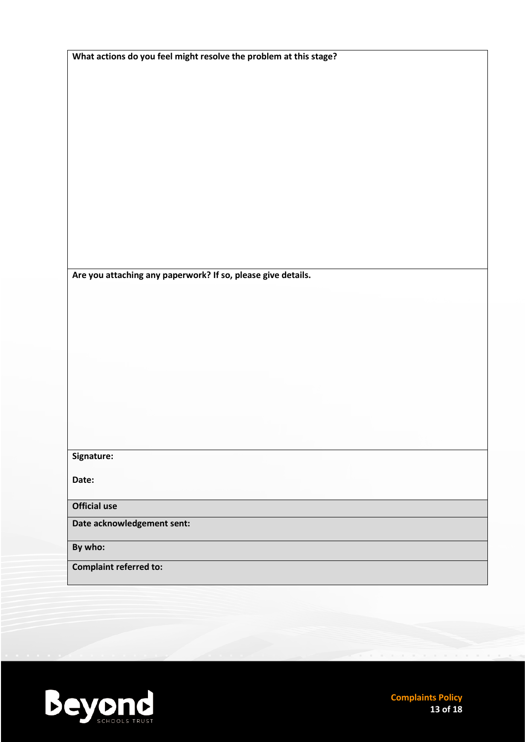| What actions do you feel might resolve the problem at this stage? |
|-------------------------------------------------------------------|
|                                                                   |
|                                                                   |
|                                                                   |
|                                                                   |
|                                                                   |
|                                                                   |
|                                                                   |
|                                                                   |
|                                                                   |
|                                                                   |
|                                                                   |
|                                                                   |
|                                                                   |
|                                                                   |
| Are you attaching any paperwork? If so, please give details.      |
|                                                                   |
|                                                                   |
|                                                                   |
|                                                                   |
|                                                                   |
|                                                                   |
|                                                                   |
|                                                                   |
|                                                                   |
|                                                                   |
|                                                                   |
| Signature:                                                        |
|                                                                   |
| Date:                                                             |
|                                                                   |
| <b>Official use</b>                                               |
| Date acknowledgement sent:                                        |
| By who:                                                           |
| <b>Complaint referred to:</b>                                     |
|                                                                   |



**Complaints Policy 13 of 18**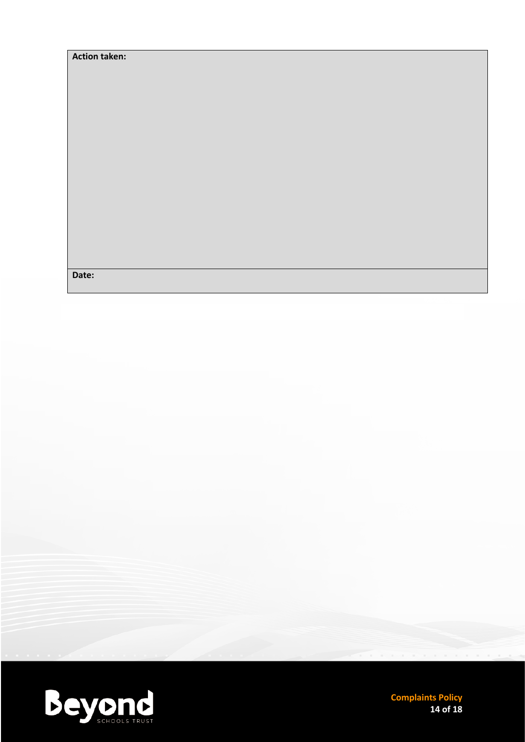| <b>Action taken:</b> |  |
|----------------------|--|
|                      |  |
|                      |  |
|                      |  |
|                      |  |
|                      |  |
|                      |  |
|                      |  |
|                      |  |
|                      |  |
|                      |  |
|                      |  |
|                      |  |
|                      |  |
|                      |  |
|                      |  |
| Date:                |  |
|                      |  |



**Complaints Policy 14 of 18**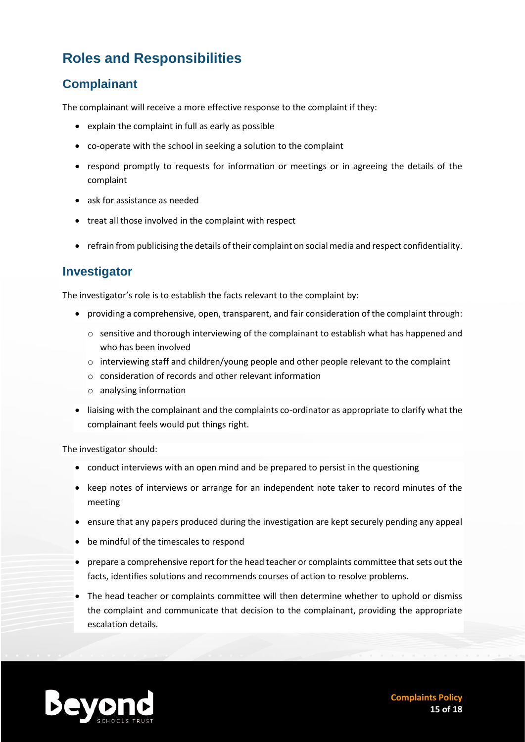# **Roles and Responsibilities**

#### **Complainant**

The complainant will receive a more effective response to the complaint if they:

- explain the complaint in full as early as possible
- co-operate with the school in seeking a solution to the complaint
- respond promptly to requests for information or meetings or in agreeing the details of the complaint
- ask for assistance as needed
- treat all those involved in the complaint with respect
- refrain from publicising the details of their complaint on social media and respect confidentiality.

#### **Investigator**

The investigator's role is to establish the facts relevant to the complaint by:

- providing a comprehensive, open, transparent, and fair consideration of the complaint through:
	- $\circ$  sensitive and thorough interviewing of the complainant to establish what has happened and who has been involved
	- o interviewing staff and children/young people and other people relevant to the complaint
	- o consideration of records and other relevant information
	- o analysing information
- liaising with the complainant and the complaints co-ordinator as appropriate to clarify what the complainant feels would put things right.

The investigator should:

- conduct interviews with an open mind and be prepared to persist in the questioning
- keep notes of interviews or arrange for an independent note taker to record minutes of the meeting
- ensure that any papers produced during the investigation are kept securely pending any appeal
- be mindful of the timescales to respond
- prepare a comprehensive report for the head teacher or complaints committee that sets out the facts, identifies solutions and recommends courses of action to resolve problems.
- The head teacher or complaints committee will then determine whether to uphold or dismiss the complaint and communicate that decision to the complainant, providing the appropriate escalation details.

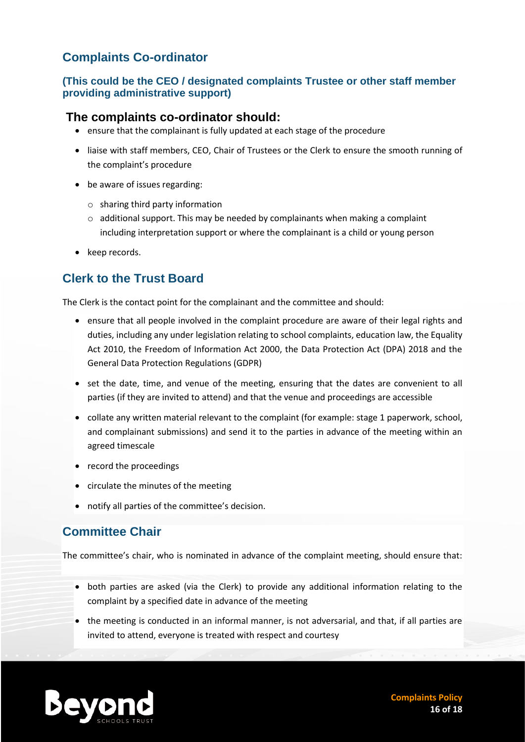#### **Complaints Co-ordinator**

#### **(This could be the CEO / designated complaints Trustee or other staff member providing administrative support)**

#### **The complaints co-ordinator should:**

- ensure that the complainant is fully updated at each stage of the procedure
- liaise with staff members, CEO, Chair of Trustees or the Clerk to ensure the smooth running of the complaint's procedure
- be aware of issues regarding:
	- o sharing third party information
	- o additional support. This may be needed by complainants when making a complaint including interpretation support or where the complainant is a child or young person
- keep records.

#### **Clerk to the Trust Board**

The Clerk is the contact point for the complainant and the committee and should:

- ensure that all people involved in the complaint procedure are aware of their legal rights and duties, including any under legislation relating to school complaints, education law, the Equality Act 2010, the Freedom of Information Act 2000, the Data Protection Act (DPA) 2018 and the General Data Protection Regulations (GDPR)
- set the date, time, and venue of the meeting, ensuring that the dates are convenient to all parties (if they are invited to attend) and that the venue and proceedings are accessible
- collate any written material relevant to the complaint (for example: stage 1 paperwork, school, and complainant submissions) and send it to the parties in advance of the meeting within an agreed timescale
- record the proceedings
- circulate the minutes of the meeting
- notify all parties of the committee's decision.

#### **Committee Chair**

The committee's chair, who is nominated in advance of the complaint meeting, should ensure that:

- both parties are asked (via the Clerk) to provide any additional information relating to the complaint by a specified date in advance of the meeting
- the meeting is conducted in an informal manner, is not adversarial, and that, if all parties are invited to attend, everyone is treated with respect and courtesy

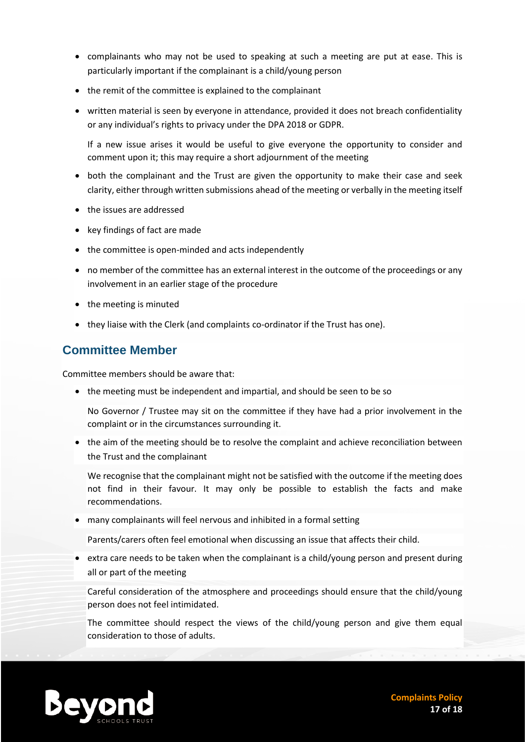- complainants who may not be used to speaking at such a meeting are put at ease. This is particularly important if the complainant is a child/young person
- the remit of the committee is explained to the complainant
- written material is seen by everyone in attendance, provided it does not breach confidentiality or any individual's rights to privacy under the DPA 2018 or GDPR.

If a new issue arises it would be useful to give everyone the opportunity to consider and comment upon it; this may require a short adjournment of the meeting

- both the complainant and the Trust are given the opportunity to make their case and seek clarity, either through written submissions ahead of the meeting or verbally in the meeting itself
- the issues are addressed
- key findings of fact are made
- the committee is open-minded and acts independently
- no member of the committee has an external interest in the outcome of the proceedings or any involvement in an earlier stage of the procedure
- the meeting is minuted
- they liaise with the Clerk (and complaints co-ordinator if the Trust has one).

#### **Committee Member**

Committee members should be aware that:

• the meeting must be independent and impartial, and should be seen to be so

No Governor / Trustee may sit on the committee if they have had a prior involvement in the complaint or in the circumstances surrounding it.

• the aim of the meeting should be to resolve the complaint and achieve reconciliation between the Trust and the complainant

We recognise that the complainant might not be satisfied with the outcome if the meeting does not find in their favour. It may only be possible to establish the facts and make recommendations.

• many complainants will feel nervous and inhibited in a formal setting

Parents/carers often feel emotional when discussing an issue that affects their child.

• extra care needs to be taken when the complainant is a child/young person and present during all or part of the meeting

Careful consideration of the atmosphere and proceedings should ensure that the child/young person does not feel intimidated.

The committee should respect the views of the child/young person and give them equal consideration to those of adults.